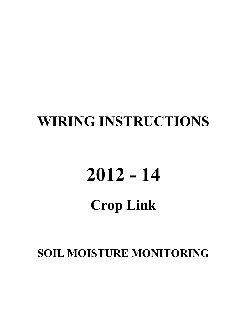## **WIRING INSTRUCTIONS**

# **2012 - 14**

## **Crop Link**

**SOIL MOISTURE MONITORING**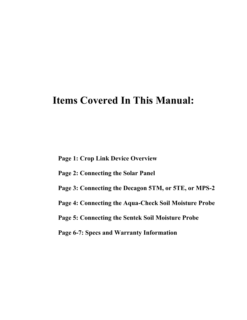## **Items Covered In This Manual:**

**Page 1: Crop Link Device Overview**

- **Page 2: Connecting the Solar Panel**
- **Page 3: Connecting the Decagon 5TM, or 5TE, or MPS-2**
- **Page 4: Connecting the Aqua-Check Soil Moisture Probe**
- **Page 5: Connecting the Sentek Soil Moisture Probe**

**Page 6-7: Specs and Warranty Information**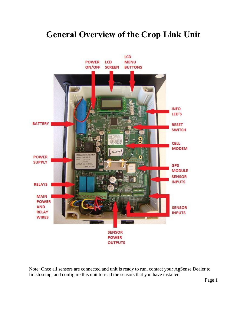#### **General Overview of the Crop Link Unit**



Note: Once all sensors are connected and unit is ready to run, contact your AgSense Dealer to finish setup, and configure this unit to read the sensors that you have installed.

Page 1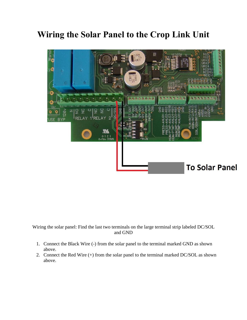#### **Wiring the Solar Panel to the Crop Link Unit**



Wiring the solar panel: Find the last two terminals on the large terminal strip labeled DC/SOL and GND

- 1. Connect the Black Wire (-) from the solar panel to the terminal marked GND as shown above.
- 2. Connect the Red Wire (+) from the solar panel to the terminal marked DC/SOL as shown above.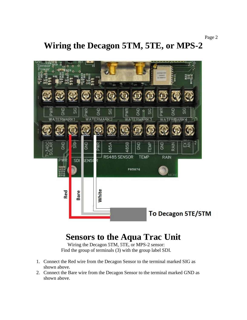**Wiring the Decagon 5TM, 5TE, or MPS-2** 



#### **Sensors to the Aqua Trac Unit**

Wiring the Decagon 5TM, 5TE, or MPS-2 sensor: Find the group of terminals (3) with the group label SDI.

- 1. Connect the Red wire from the Decagon Sensor to the terminal marked SIG as shown above.
- 2. Connect the Bare wire from the Decagon Sensor to the terminal marked GND as shown above.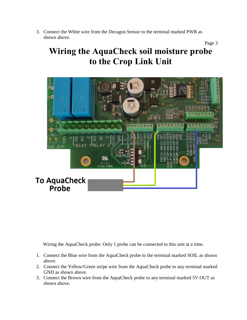3. Connect the White wire from the Decagon Sensor to the terminal marked PWR as shown above. Page 3

## **Wiring the AquaCheck soil moisture probe to the Crop Link Unit**



Wiring the AquaCheck probe: Only 1 probe can be connected to this unit at a time.

- 1. Connect the Blue wire from the AquaCheck probe to the terminal marked SOIL as shown above.
- 2. Connect the Yellow/Green stripe wire from the AquaCheck probe to any terminal marked GND as shown above.
- 3. Connect the Brown wire from the AquaCheck probe to any terminal marked 5V OUT as shown above.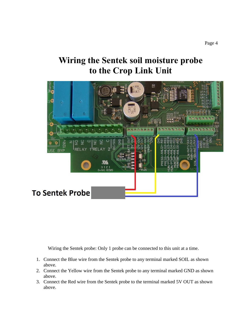### **Wiring the Sentek soil moisture probe to the Crop Link Unit**



Wiring the Sentek probe: Only 1 probe can be connected to this unit at a time.

- 1. Connect the Blue wire from the Sentek probe to any terminal marked SOIL as shown above.
- 2. Connect the Yellow wire from the Sentek probe to any terminal marked GND as shown above.
- 3. Connect the Red wire from the Sentek probe to the terminal marked 5V OUT as shown above.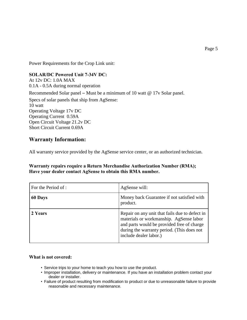Power Requirements for the Crop Link unit:

#### **SOLAR/DC Powered Unit 7-34V DC:**

At 12v DC: 1.0A MAX 0.1A - 0.5A during normal operation

Recommended Solar panel – Must be a minimum of 10 watt @ 17v Solar panel.

Specs of solar panels that ship from AgSense: 10 watt Operating Voltage 17v DC Operating Current 0.59A Open Circuit Voltage 21.2v DC Short Circuit Current 0.69A

#### **Warranty Information:**

All warranty service provided by the AgSense service center, or an authorized technician.

**Warranty repairs require a Return Merchandise Authorization Number (RMA); Have your dealer contact AgSense to obtain this RMA number.**

| For the Period of : | AgSense will:                                                                                                                                                                                                   |
|---------------------|-----------------------------------------------------------------------------------------------------------------------------------------------------------------------------------------------------------------|
| 60 Days             | Money back Guarantee if not satisfied with<br>product.                                                                                                                                                          |
| 2 Years             | Repair on any unit that fails due to defect in<br>materials or workmanship. AgSense labor<br>and parts would be provided free of charge<br>during the warranty period. (This does not<br>include dealer labor.) |

#### **What is not covered:**

- Service trips to your home to teach you how to use the product.
- Improper installation, delivery or maintenance. If you have an installation problem contact your dealer or installer.
- Failure of product resulting from modification to product or due to unreasonable failure to provide reasonable and necessary maintenance.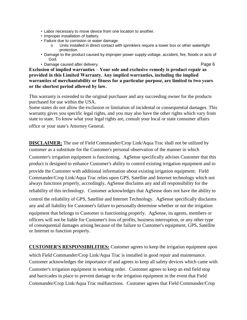- Labor necessary to move device from one location to another.
- Improper installation of battery.
- Failure due to corrosion or water damage.
	- o Units installed in direct contact with sprinklers require a tower box or other watertight protection.
- Damage to the product caused by improper power supply voltage, accident, fire, floods or acts of God.
- Damage caused after delivery. **Page 6**

**Exclusion of implied warranties** – **Your sole and exclusive remedy is product repair as provided in this Limited Warranty. Any implied warranties, including the implied warranties of merchantability or fitness for a particular purpose, are limited to two years or the shortest period allowed by law.**

This warranty is extended to the original purchaser and any succeeding owner for the products purchased for use within the USA.

Some states do not allow the exclusion or limitation of incidental or consequential damages. This warranty gives you specific legal rights, and you may also have the other rights which vary from state to state. To know what your legal rights are, consult your local or state consumer affairs

office or your state's Attorney General.

**DISCLAIMER:** The use of Field Commander/Crop Link/Aqua Trac shall not be utilized by customer as a substitute for the Customer's personal observation of the manner in which Customer's irrigation equipment is functioning. AgSense specifically advises Customer that this product is designed to enhance Customer's ability to control existing irrigation equipment and to provide the Customer with additional information about existing irrigation equipment. Field Commander/Crop Link/Aqua Trac relies upon GPS, Satellite and Internet technology which not always functions properly, accordingly, AgSense disclaims any and all responsibility for the reliability of this technology. Customer acknowledges that AgSense does not have the ability to control the reliability of GPS, Satellite and Internet Technology. AgSense specifically disclaims any and all liability for Customer's failure to personally determine whether or not the irrigation equipment that belongs to Customer is functioning properly. AgSense, its agents, members or officers will not be liable for Customer's loss of profits, business interruption, or any other type of consequential damages arising because of the failure to Customer's equipment, GPS, Satellite or Internet to function properly.

**CUSTOMER'S RESPONSIBILITIES:** Customer agrees to keep the irrigation equipment upon which Field Commander/Crop Link/Aqua Trac is installed in good repair and maintenance. Customer acknowledges the importance of and agrees to keep all safety devices which came with Customer's irrigation equipment in working order. Customer agrees to keep an end field stop and barricades in place to prevent damage to the irrigation equipment in the event that Field Commander/Crop Link/Aqua Trac malfunctions. Customer agrees that Field Commander/Crop